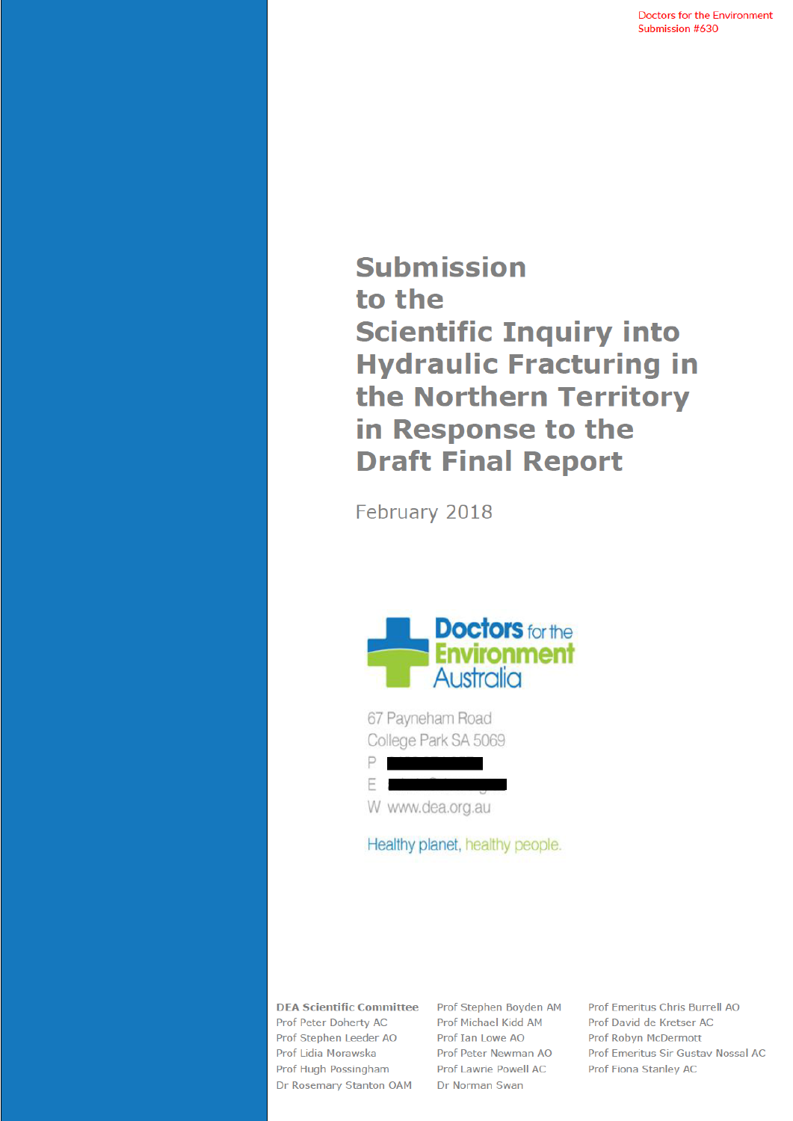**Doctors for the Environment** Submission #630

**Submission** to the **Scientific Inquiry into Hydraulic Fracturing in** the Northern Territory in Response to the **Draft Final Report** 

February 2018



67 Payneham Road College Park SA 5069 P

F M W www.dea.org.au

Healthy planet, healthy people.

**DEA Scientific Committee Prof Peter Doherty AC** Prof Stephen Leeder AO Prof Lidia Morawska Prof Hugh Possingham Dr Rosemary Stanton OAM

Prof Stephen Boyden AM Prof Michael Kidd AM Prof Ian Lowe AO Prof Peter Newman AO Prof Lawrie Powell AC Dr Norman Swan

Prof Emeritus Chris Burrell AO Prof David de Kretser AC Prof Robyn McDermott Prof Emeritus Sir Gustav Nossal AC Prof Fiona Stanley AC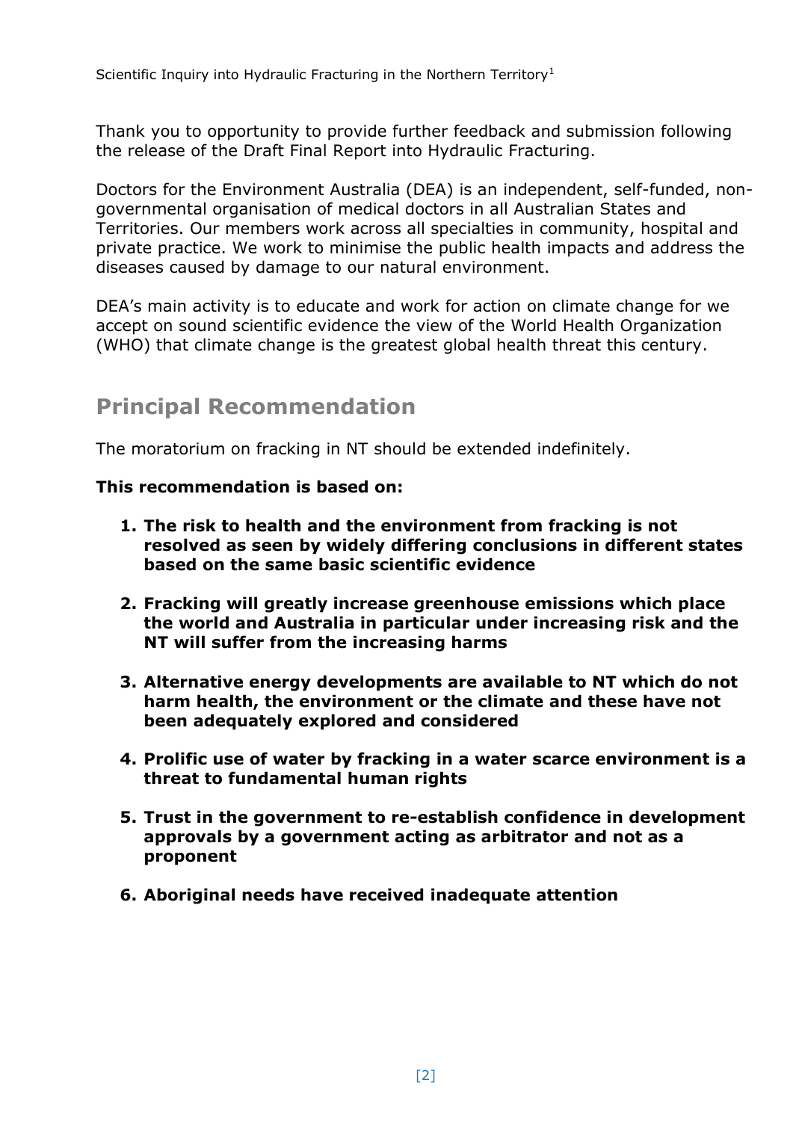Scientific Inquiry into Hydraulic Fracturing in the Northern Territory<sup>1</sup>

Thank you to opportunity to provide further feedback and submission following the release of the Draft Final Report into Hydraulic Fracturing.

Doctors for the Environment Australia (DEA) is an independent, self-funded, nongovernmental organisation of medical doctors in all Australian States and Territories. Our members work across all specialties in community, hospital and private practice. We work to minimise the public health impacts and address the diseases caused by damage to our natural environment.

DEA's main activity is to educate and work for action on climate change for we accept on sound scientific evidence the view of the World Health Organization (WHO) that climate change is the greatest global health threat this century.

# **Principal Recommendation**

The moratorium on fracking in NT should be extended indefinitely.

### **This recommendation is based on:**

- **1. The risk to health and the environment from fracking is not resolved as seen by widely differing conclusions in different states based on the same basic scientific evidence**
- **2. Fracking will greatly increase greenhouse emissions which place the world and Australia in particular under increasing risk and the NT will suffer from the increasing harms**
- **3. Alternative energy developments are available to NT which do not harm health, the environment or the climate and these have not been adequately explored and considered**
- **4. Prolific use of water by fracking in a water scarce environment is a threat to fundamental human rights**
- **5. Trust in the government to re-establish confidence in development approvals by a government acting as arbitrator and not as a proponent**
- **6. Aboriginal needs have received inadequate attention**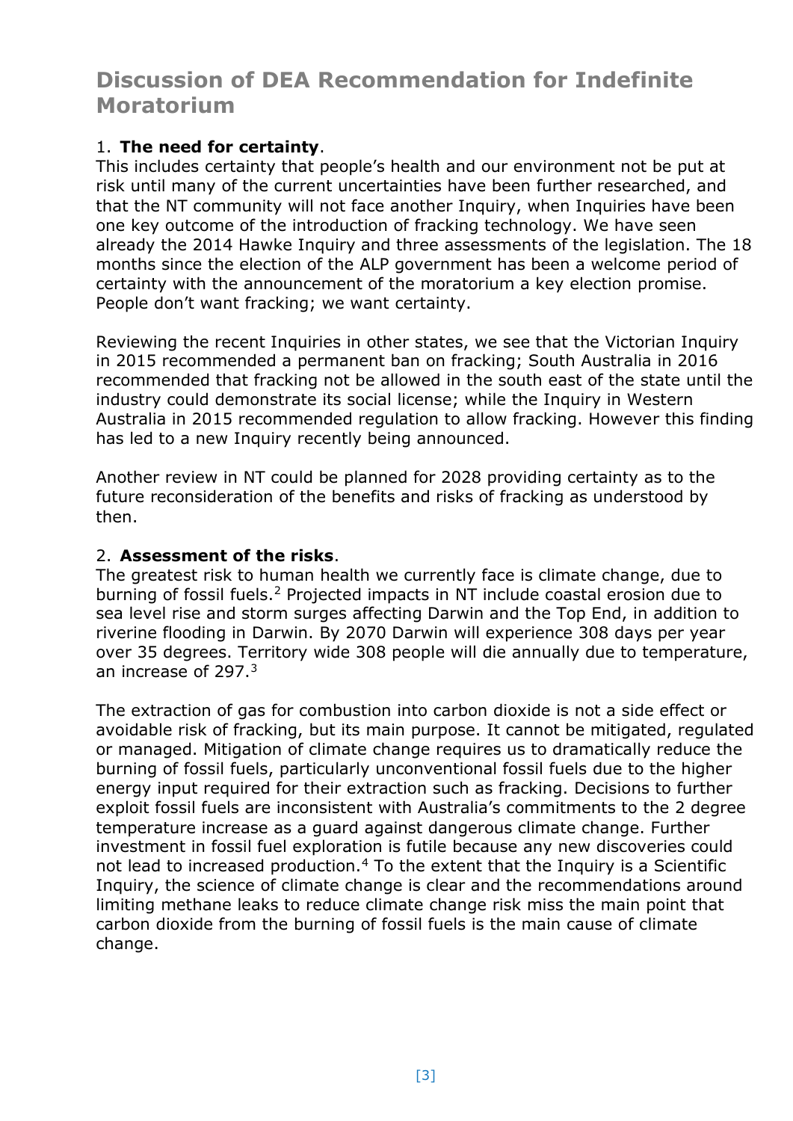# **Discussion of DEA Recommendation for Indefinite Moratorium**

## 1. **The need for certainty**.

This includes certainty that people's health and our environment not be put at risk until many of the current uncertainties have been further researched, and that the NT community will not face another Inquiry, when Inquiries have been one key outcome of the introduction of fracking technology. We have seen already the 2014 Hawke Inquiry and three assessments of the legislation. The 18 months since the election of the ALP government has been a welcome period of certainty with the announcement of the moratorium a key election promise. People don't want fracking; we want certainty.

Reviewing the recent Inquiries in other states, we see that the Victorian Inquiry in 2015 recommended a permanent ban on fracking; South Australia in 2016 recommended that fracking not be allowed in the south east of the state until the industry could demonstrate its social license; while the Inquiry in Western Australia in 2015 recommended regulation to allow fracking. However this finding has led to a new Inquiry recently being announced.

Another review in NT could be planned for 2028 providing certainty as to the future reconsideration of the benefits and risks of fracking as understood by then.

## 2. **Assessment of the risks**.

The greatest risk to human health we currently face is climate change, due to burning of fossil fuels.<sup>2</sup> Projected impacts in NT include coastal erosion due to sea level rise and storm surges affecting Darwin and the Top End, in addition to riverine flooding in Darwin. By 2070 Darwin will experience 308 days per year over 35 degrees. Territory wide 308 people will die annually due to temperature, an increase of 297.<sup>3</sup>

<span id="page-2-0"></span>The extraction of gas for combustion into carbon dioxide is not a side effect or avoidable risk of fracking, but its main purpose. It cannot be mitigated, regulated or managed. Mitigation of climate change requires us to dramatically reduce the burning of fossil fuels, particularly unconventional fossil fuels due to the higher energy input required for their extraction such as fracking. Decisions to further exploit fossil fuels are inconsistent with Australia's commitments to the 2 degree temperature increase as a guard against dangerous climate change. Further investment in fossil fuel exploration is futile because any new discoveries could not lead to increased production.<sup>4</sup> To the extent that the Inquiry is a Scientific Inquiry, the science of climate change is clear and the recommendations around limiting methane leaks to reduce climate change risk miss the main point that carbon dioxide from the burning of fossil fuels is the main cause of climate change.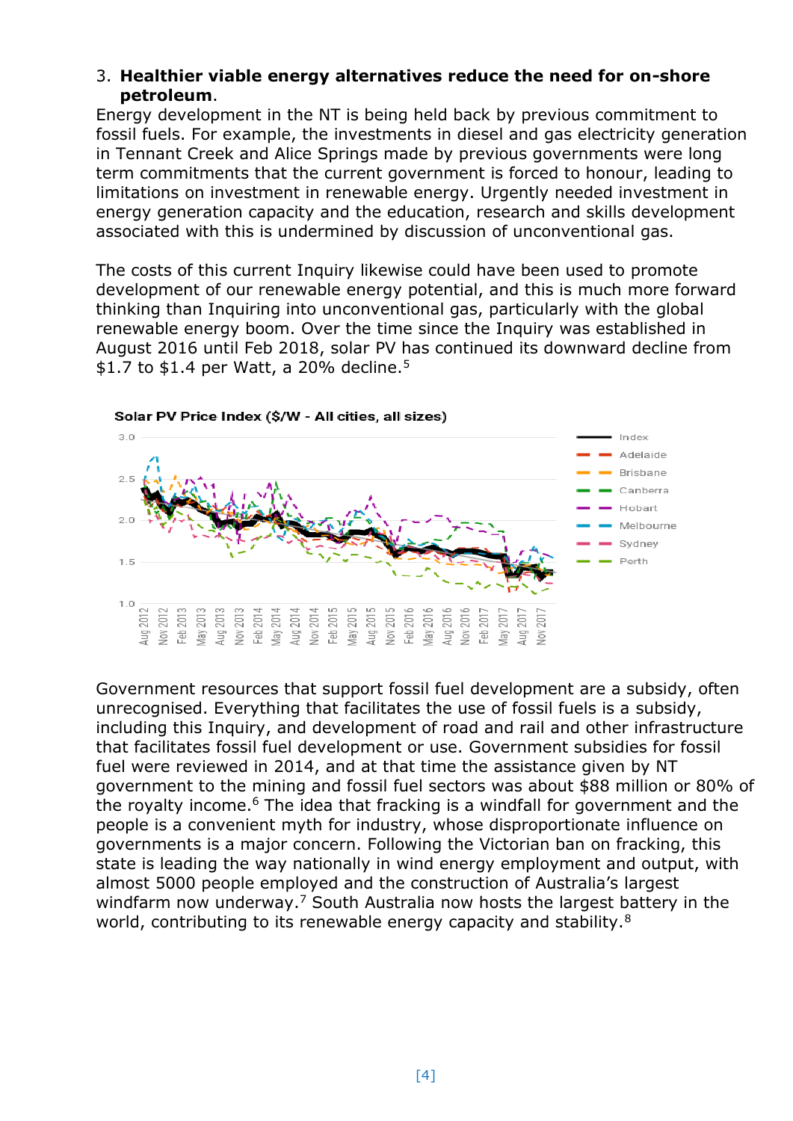#### 3. **Healthier viable energy alternatives reduce the need for on-shore petroleum**.

Energy development in the NT is being held back by previous commitment to fossil fuels. For example, the investments in diesel and gas electricity generation in Tennant Creek and Alice Springs made by previous governments were long term commitments that the current government is forced to honour, leading to limitations on investment in renewable energy. Urgently needed investment in energy generation capacity and the education, research and skills development associated with this is undermined by discussion of unconventional gas.

The costs of this current Inquiry likewise could have been used to promote development of our renewable energy potential, and this is much more forward thinking than Inquiring into unconventional gas, particularly with the global renewable energy boom. Over the time since the Inquiry was established in August 2016 until Feb 2018, solar PV has continued its downward decline from \$1.7 to \$1.4 per Watt, a 20% decline.<sup>5</sup>



Government resources that support fossil fuel development are a subsidy, often unrecognised. Everything that facilitates the use of fossil fuels is a subsidy, including this Inquiry, and development of road and rail and other infrastructure that facilitates fossil fuel development or use. Government subsidies for fossil fuel were reviewed in 2014, and at that time the assistance given by NT government to the mining and fossil fuel sectors was about \$88 million or 80% of the royalty income.<sup>6</sup> The idea that fracking is a windfall for government and the people is a convenient myth for industry, whose disproportionate influence on governments is a major concern. Following the Victorian ban on fracking, this state is leading the way nationally in wind energy employment and output, with almost 5000 people employed and the construction of Australia's largest windfarm now underway.<sup>7</sup> South Australia now hosts the largest battery in the world, contributing to its renewable energy capacity and stability.<sup>8</sup>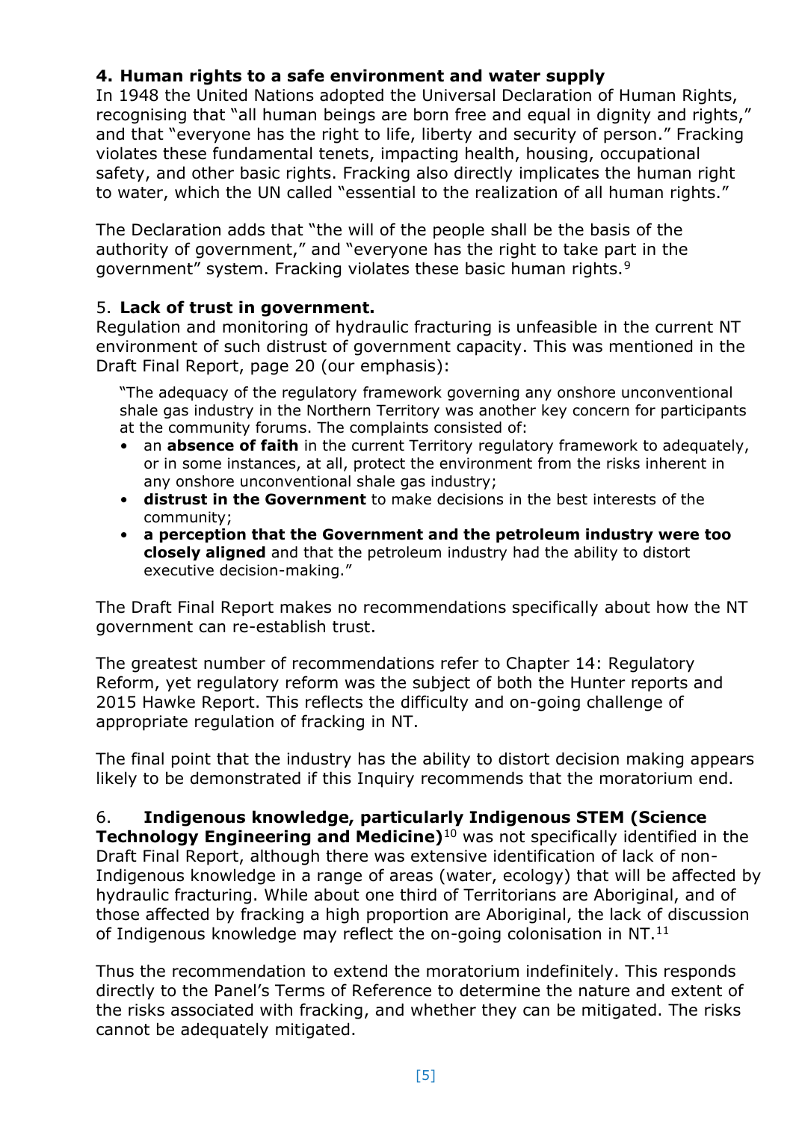## **4. Human rights to a safe environment and water supply**

In 1948 the United Nations adopted the Universal Declaration of Human Rights, recognising that "all human beings are born free and equal in dignity and rights," and that "everyone has the right to life, liberty and security of person." Fracking violates these fundamental tenets, impacting health, housing, occupational safety, and other basic rights. Fracking also directly implicates the human right to water, which the UN called "essential to the realization of all human rights."

The Declaration adds that "the will of the people shall be the basis of the authority of government," and "everyone has the right to take part in the government" system. Fracking violates these basic human rights.<sup>9</sup>

## 5. **Lack of trust in government.**

Regulation and monitoring of hydraulic fracturing is unfeasible in the current NT environment of such distrust of government capacity. This was mentioned in the Draft Final Report, page 20 (our emphasis):

"The adequacy of the regulatory framework governing any onshore unconventional shale gas industry in the Northern Territory was another key concern for participants at the community forums. The complaints consisted of:

- an **absence of faith** in the current Territory regulatory framework to adequately, or in some instances, at all, protect the environment from the risks inherent in any onshore unconventional shale gas industry;
- **distrust in the Government** to make decisions in the best interests of the community;
- **a perception that the Government and the petroleum industry were too closely aligned** and that the petroleum industry had the ability to distort executive decision-making."

The Draft Final Report makes no recommendations specifically about how the NT government can re-establish trust.

The greatest number of recommendations refer to Chapter 14: Regulatory Reform, yet regulatory reform was the subject of both the Hunter reports and 2015 Hawke Report. This reflects the difficulty and on-going challenge of appropriate regulation of fracking in NT.

The final point that the industry has the ability to distort decision making appears likely to be demonstrated if this Inquiry recommends that the moratorium end.

6. **Indigenous knowledge, particularly Indigenous STEM (Science Technology Engineering and Medicine)**<sup>10</sup> was not specifically identified in the Draft Final Report, although there was extensive identification of lack of non-Indigenous knowledge in a range of areas (water, ecology) that will be affected by hydraulic fracturing. While about one third of Territorians are Aboriginal, and of those affected by fracking a high proportion are Aboriginal, the lack of discussion of Indigenous knowledge may reflect the on-going colonisation in NT.<sup>11</sup>

Thus the recommendation to extend the moratorium indefinitely. This responds directly to the Panel's Terms of Reference to determine the nature and extent of the risks associated with fracking, and whether they can be mitigated. The risks cannot be adequately mitigated.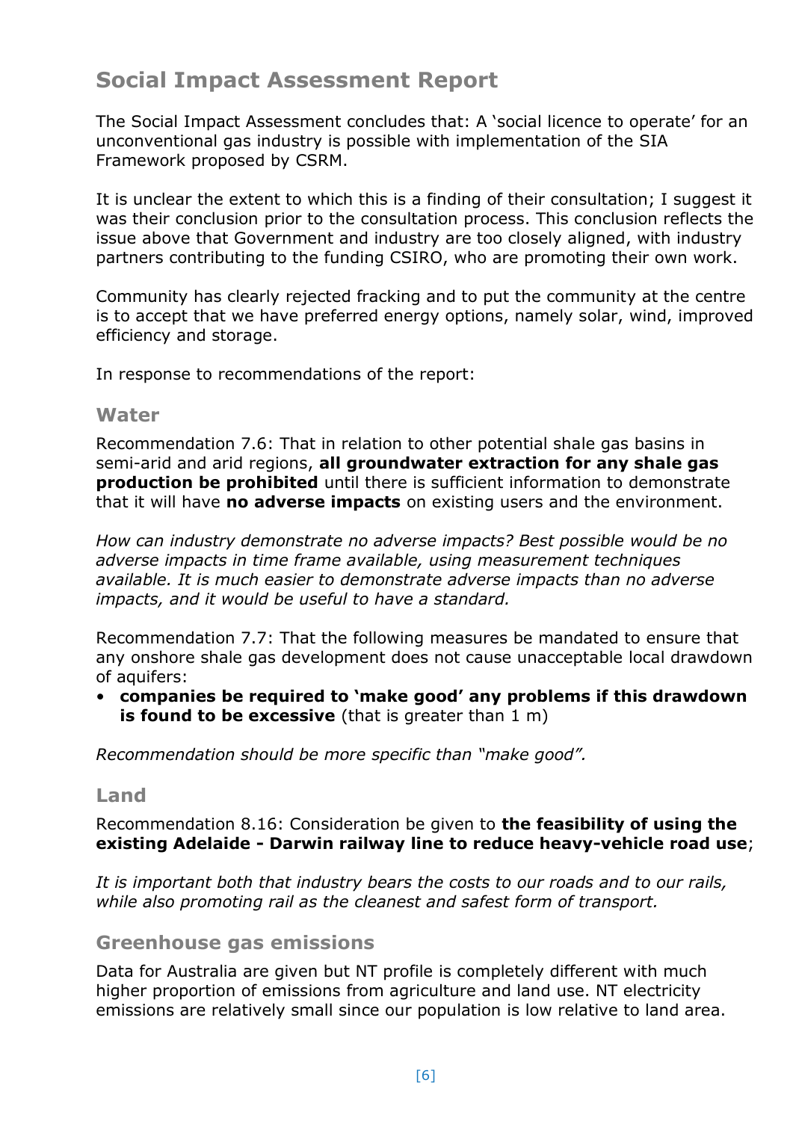# **Social Impact Assessment Report**

The Social Impact Assessment concludes that: A 'social licence to operate' for an unconventional gas industry is possible with implementation of the SIA Framework proposed by CSRM.

It is unclear the extent to which this is a finding of their consultation; I suggest it was their conclusion prior to the consultation process. This conclusion reflects the issue above that Government and industry are too closely aligned, with industry partners contributing to the funding CSIRO, who are promoting their own work.

Community has clearly rejected fracking and to put the community at the centre is to accept that we have preferred energy options, namely solar, wind, improved efficiency and storage.

In response to recommendations of the report:

## **Water**

Recommendation 7.6: That in relation to other potential shale gas basins in semi-arid and arid regions, **all groundwater extraction for any shale gas production be prohibited** until there is sufficient information to demonstrate that it will have **no adverse impacts** on existing users and the environment.

*How can industry demonstrate no adverse impacts? Best possible would be no adverse impacts in time frame available, using measurement techniques available. It is much easier to demonstrate adverse impacts than no adverse impacts, and it would be useful to have a standard.* 

Recommendation 7.7: That the following measures be mandated to ensure that any onshore shale gas development does not cause unacceptable local drawdown of aquifers:

• **companies be required to 'make good' any problems if this drawdown is found to be excessive** (that is greater than 1 m)

*Recommendation should be more specific than "make good".*

## **Land**

Recommendation 8.16: Consideration be given to **the feasibility of using the existing Adelaide - Darwin railway line to reduce heavy-vehicle road use**;

*It is important both that industry bears the costs to our roads and to our rails, while also promoting rail as the cleanest and safest form of transport.* 

## **Greenhouse gas emissions**

Data for Australia are given but NT profile is completely different with much higher proportion of emissions from agriculture and land use. NT electricity emissions are relatively small since our population is low relative to land area.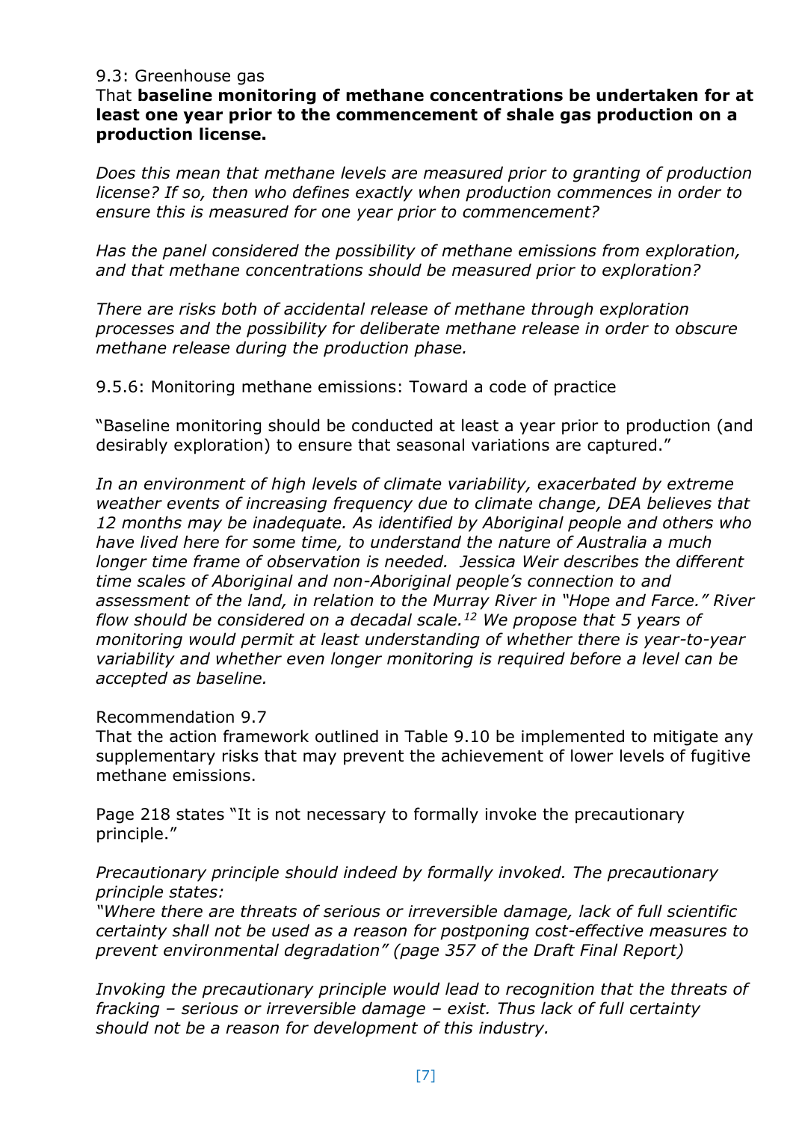#### 9.3: Greenhouse gas

#### That **baseline monitoring of methane concentrations be undertaken for at least one year prior to the commencement of shale gas production on a production license.**

*Does this mean that methane levels are measured prior to granting of production license? If so, then who defines exactly when production commences in order to ensure this is measured for one year prior to commencement?*

*Has the panel considered the possibility of methane emissions from exploration, and that methane concentrations should be measured prior to exploration?*

*There are risks both of accidental release of methane through exploration processes and the possibility for deliberate methane release in order to obscure methane release during the production phase.*

9.5.6: Monitoring methane emissions: Toward a code of practice

"Baseline monitoring should be conducted at least a year prior to production (and desirably exploration) to ensure that seasonal variations are captured."

In an environment of high levels of climate variability, exacerbated by extreme *weather events of increasing frequency due to climate change, DEA believes that 12 months may be inadequate. As identified by Aboriginal people and others who have lived here for some time, to understand the nature of Australia a much longer time frame of observation is needed. Jessica Weir describes the different time scales of Aboriginal and non-Aboriginal people's connection to and assessment of the land, in relation to the Murray River in "Hope and Farce." River flow should be considered on a decadal scale.<sup>12</sup> We propose that 5 years of monitoring would permit at least understanding of whether there is year-to-year variability and whether even longer monitoring is required before a level can be accepted as baseline.*

#### Recommendation 9.7

That the action framework outlined in Table 9.10 be implemented to mitigate any supplementary risks that may prevent the achievement of lower levels of fugitive methane emissions.

Page 218 states "It is not necessary to formally invoke the precautionary principle."

*Precautionary principle should indeed by formally invoked. The precautionary principle states:*

*"Where there are threats of serious or irreversible damage, lack of full scientific certainty shall not be used as a reason for postponing cost-effective measures to prevent environmental degradation" (page 357 of the Draft Final Report)*

*Invoking the precautionary principle would lead to recognition that the threats of fracking – serious or irreversible damage – exist. Thus lack of full certainty should not be a reason for development of this industry.*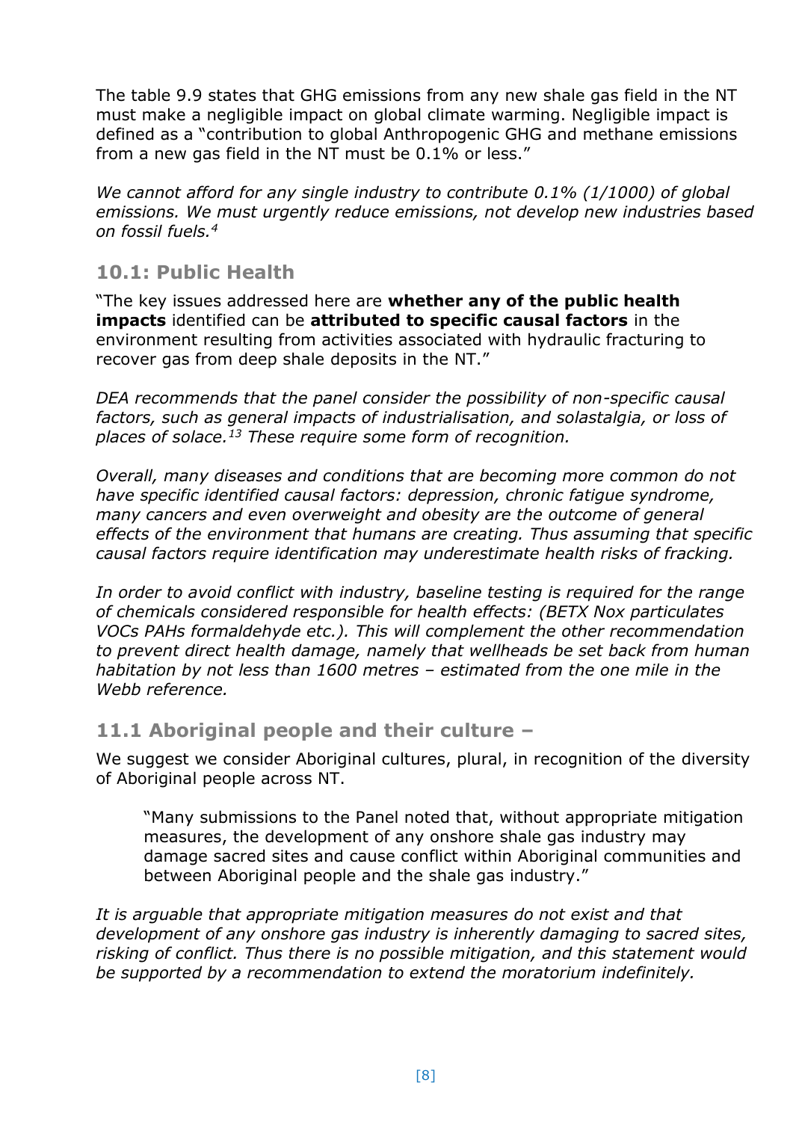The table 9.9 states that GHG emissions from any new shale gas field in the NT must make a negligible impact on global climate warming. Negligible impact is defined as a "contribution to global Anthropogenic GHG and methane emissions from a new gas field in the NT must be 0.1% or less."

*We cannot afford for any single industry to contribute 0.1% (1/1000) of global emissions. We must urgently reduce emissions, not develop new industries based on fossil fuels.[4](#page-2-0)*

# **10.1: Public Health**

"The key issues addressed here are **whether any of the public health impacts** identified can be **attributed to specific causal factors** in the environment resulting from activities associated with hydraulic fracturing to recover gas from deep shale deposits in the NT."

*DEA recommends that the panel consider the possibility of non-specific causal factors, such as general impacts of industrialisation, and solastalgia, or loss of places of solace. <sup>13</sup> These require some form of recognition.* 

*Overall, many diseases and conditions that are becoming more common do not have specific identified causal factors: depression, chronic fatigue syndrome, many cancers and even overweight and obesity are the outcome of general effects of the environment that humans are creating. Thus assuming that specific causal factors require identification may underestimate health risks of fracking.* 

*In order to avoid conflict with industry, baseline testing is required for the range of chemicals considered responsible for health effects: (BETX Nox particulates VOCs PAHs formaldehyde etc.). This will complement the other recommendation to prevent direct health damage, namely that wellheads be set back from human habitation by not less than 1600 metres – estimated from the one mile in the Webb reference.*

# **11.1 Aboriginal people and their culture –**

We suggest we consider Aboriginal cultures, plural, in recognition of the diversity of Aboriginal people across NT.

"Many submissions to the Panel noted that, without appropriate mitigation measures, the development of any onshore shale gas industry may damage sacred sites and cause conflict within Aboriginal communities and between Aboriginal people and the shale gas industry."

*It is arguable that appropriate mitigation measures do not exist and that development of any onshore gas industry is inherently damaging to sacred sites, risking of conflict. Thus there is no possible mitigation, and this statement would be supported by a recommendation to extend the moratorium indefinitely.*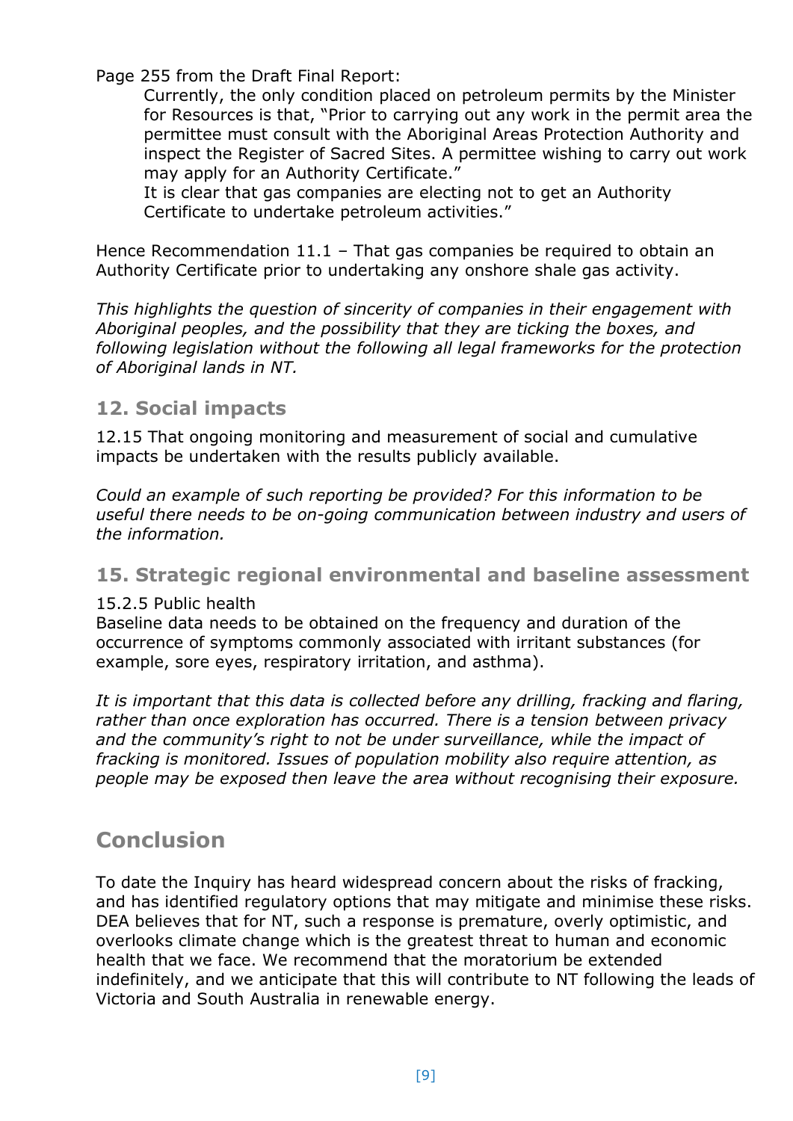Page 255 from the Draft Final Report:

Currently, the only condition placed on petroleum permits by the Minister for Resources is that, "Prior to carrying out any work in the permit area the permittee must consult with the Aboriginal Areas Protection Authority and inspect the Register of Sacred Sites. A permittee wishing to carry out work may apply for an Authority Certificate."

It is clear that gas companies are electing not to get an Authority Certificate to undertake petroleum activities."

Hence Recommendation 11.1 – That gas companies be required to obtain an Authority Certificate prior to undertaking any onshore shale gas activity.

*This highlights the question of sincerity of companies in their engagement with Aboriginal peoples, and the possibility that they are ticking the boxes, and following legislation without the following all legal frameworks for the protection of Aboriginal lands in NT.*

# **12. Social impacts**

12.15 That ongoing monitoring and measurement of social and cumulative impacts be undertaken with the results publicly available.

*Could an example of such reporting be provided? For this information to be useful there needs to be on-going communication between industry and users of the information.* 

# **15. Strategic regional environmental and baseline assessment**

#### 15.2.5 Public health

Baseline data needs to be obtained on the frequency and duration of the occurrence of symptoms commonly associated with irritant substances (for example, sore eyes, respiratory irritation, and asthma).

*It is important that this data is collected before any drilling, fracking and flaring, rather than once exploration has occurred. There is a tension between privacy and the community's right to not be under surveillance, while the impact of fracking is monitored. Issues of population mobility also require attention, as people may be exposed then leave the area without recognising their exposure.* 

# **Conclusion**

To date the Inquiry has heard widespread concern about the risks of fracking, and has identified regulatory options that may mitigate and minimise these risks. DEA believes that for NT, such a response is premature, overly optimistic, and overlooks climate change which is the greatest threat to human and economic health that we face. We recommend that the moratorium be extended indefinitely, and we anticipate that this will contribute to NT following the leads of Victoria and South Australia in renewable energy.